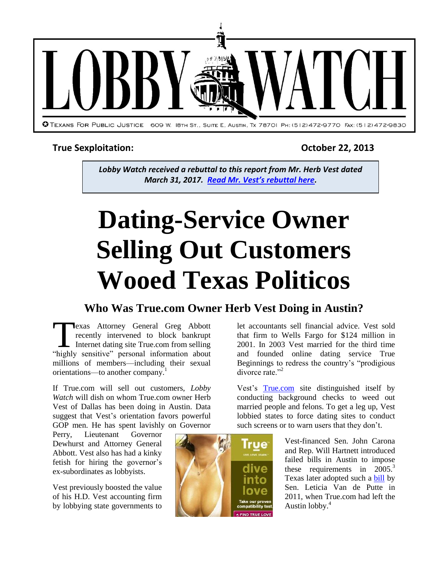

# **True Sexploitation: October 22, 2013**

*Lobby Watch received a rebuttal to this report from Mr. Herb Vest dated March 31, 2017. Read Mr. Vest['s rebuttal here](http://info.tpj.org/Lobby_Watch/pdf/TrueBegin%20Vest%20Response.pdf).*

# **Dating-Service Owner Selling Out Customers Wooed Texas Politicos**

# **Who Was True.com Owner Herb Vest Doing in Austin?**

exas Attorney General Greg Abbott recently intervened to block bankrupt Internet dating site True.com from selling **Exas Attorney General Greg Abbott**<br>
recently intervened to block bankrupt<br>
Internet dating site True.com from selling<br>
"highly sensitive" personal information about millions of members—including their sexual orientations—to another company.<sup>1</sup>

If True.com will sell out customers, *Lobby Watch* will dish on whom True.com owner Herb Vest of Dallas has been doing in Austin. Data suggest that Vest's orientation favors powerful GOP men. He has spent lavishly on Governor

Perry, Lieutenant Governor Dewhurst and Attorney General Abbott. Vest also has had a kinky fetish for hiring the governor's ex-subordinates as lobbyists.

Vest previously boosted the value of his H.D. Vest accounting firm by lobbying state governments to



Vest's [True.com](http://www.true.com/) site distinguished itself by conducting background checks to weed out married people and felons. To get a leg up, Vest lobbied states to force dating sites to conduct such screens or to warn users that they don't.

> Vest-financed Sen. John Carona and Rep. Will Hartnett introduced failed bills in Austin to impose these requirements in  $2005$ <sup>3</sup> Texas later adopted such a [bill](http://www.capitol.state.tx.us/tlodocs/82R/billtext/html/SB00488F.htm) by Sen. Leticia Van de Putte in 2011, when True.com had left the Austin lobby. 4

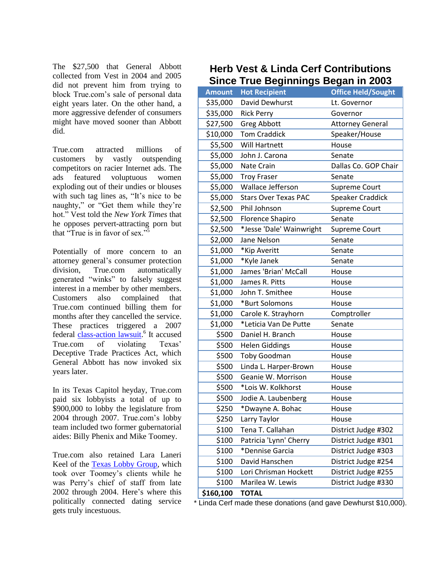The \$27,500 that General Abbott collected from Vest in 2004 and 2005 did not prevent him from trying to block True.com's sale of personal data eight years later. On the other hand, a more aggressive defender of consumers might have moved sooner than Abbott did.

True.com attracted millions of customers by vastly outspending competitors on racier Internet ads. The ads featured voluptuous women exploding out of their undies or blouses with such tag lines as, "It's nice to be naughty," or "Get them while they're hot." Vest told the *New York Times* that he opposes pervert-attracting porn but that "True is in favor of sex."<sup>5</sup>

Potentially of more concern to an attorney general's consumer protection division, True.com automatically generated "winks" to falsely suggest interest in a member by other members. Customers also complained that True.com continued billing them for months after they cancelled the service. These practices triggered a 2007 federal *[class-action lawsuit.](http://dockets.justia.com/docket/texas/txndce/3:2007cv01244/169047/)*<sup>6</sup> It accused True.com of violating Texas' Deceptive Trade Practices Act, which General Abbott has now invoked six years later.

In its Texas Capitol heyday, True.com paid six lobbyists a total of up to \$900,000 to lobby the legislature from 2004 through 2007. True.com's lobby team included two former gubernatorial aides: Billy Phenix and Mike Toomey.

True.com also retained Lara Laneri Keel of the [Texas Lobby Group,](http://info.tpj.org/reports/pdf/Toomey.sharkreport.pdf) which took over Toomey's clients while he was Perry's chief of staff from late 2002 through 2004. Here's where this politically connected dating service gets truly incestuous.

## **Herb Vest & Linda Cerf Contributions Since True Beginnings Began in 2003**

|               | omce True Degminings Degan in 2005           |                           |  |
|---------------|----------------------------------------------|---------------------------|--|
| <b>Amount</b> | <b>Hot Recipient</b>                         | <b>Office Held/Sought</b> |  |
| \$35,000      | David Dewhurst                               | Lt. Governor              |  |
| \$35,000      | <b>Rick Perry</b>                            | Governor                  |  |
| \$27,500      | <b>Greg Abbott</b>                           | <b>Attorney General</b>   |  |
| \$10,000      | <b>Tom Craddick</b>                          | Speaker/House             |  |
| \$5,500       | Will Hartnett                                | House                     |  |
| \$5,000       | John J. Carona                               | Senate                    |  |
| \$5,000       | Dallas Co. GOP Chair<br>Nate Crain           |                           |  |
| \$5,000       | <b>Troy Fraser</b><br>Senate                 |                           |  |
| \$5,000       | Wallace Jefferson                            | <b>Supreme Court</b>      |  |
| \$5,000       | <b>Stars Over Texas PAC</b>                  | Speaker Craddick          |  |
| \$2,500       | Phil Johnson                                 | <b>Supreme Court</b>      |  |
| \$2,500       | <b>Florence Shapiro</b>                      | Senate                    |  |
| \$2,500       | *Jesse 'Dale' Wainwright                     | <b>Supreme Court</b>      |  |
| \$2,000       | Jane Nelson                                  | Senate                    |  |
| \$1,000       | *Kip Averitt                                 | Senate                    |  |
| \$1,000       | *Kyle Janek                                  | Senate                    |  |
| \$1,000       | James 'Brian' McCall                         | House                     |  |
| \$1,000       | James R. Pitts                               | House                     |  |
| \$1,000       | John T. Smithee                              | House                     |  |
| \$1,000       | *Burt Solomons                               | House                     |  |
| \$1,000       | Carole K. Strayhorn                          | Comptroller               |  |
| \$1,000       | *Leticia Van De Putte                        | Senate                    |  |
| \$500         | Daniel H. Branch<br>House                    |                           |  |
| \$500         | <b>Helen Giddings</b>                        | House                     |  |
| \$500         | <b>Toby Goodman</b><br>House                 |                           |  |
| \$500         | Linda L. Harper-Brown                        | House                     |  |
| \$500         | Geanie W. Morrison                           | House                     |  |
| \$500         | *Lois W. Kolkhorst                           | House                     |  |
| \$500         | Jodie A. Laubenberg                          | House                     |  |
| \$250         | *Dwayne A. Bohac                             | House                     |  |
| \$250         | Larry Taylor                                 | House                     |  |
| \$100         | Tena T. Callahan                             | District Judge #302       |  |
| \$100         | Patricia 'Lynn' Cherry                       | District Judge #301       |  |
| \$100         | *Dennise Garcia                              | District Judge #303       |  |
| \$100         | David Hanschen                               | District Judge #254       |  |
| \$100         | District Judge #255<br>Lori Chrisman Hockett |                           |  |
| \$100         | District Judge #330<br>Marilea W. Lewis      |                           |  |
| \$160,100     | <b>TOTAL</b>                                 |                           |  |

\* Linda Cerf made these donations (and gave Dewhurst \$10,000).